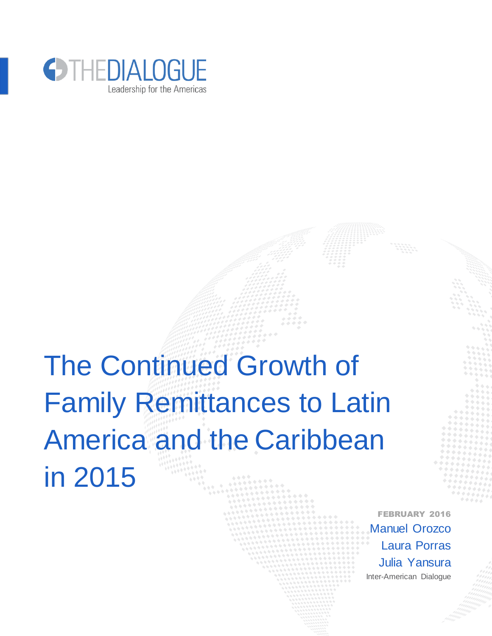

in 2015

# The Continued Growth of Family Remittances to Latin America and the Caribbean

FEBRUARY 2016 Manuel Orozco Laura Porras Julia Yansura Inter-American Dialogue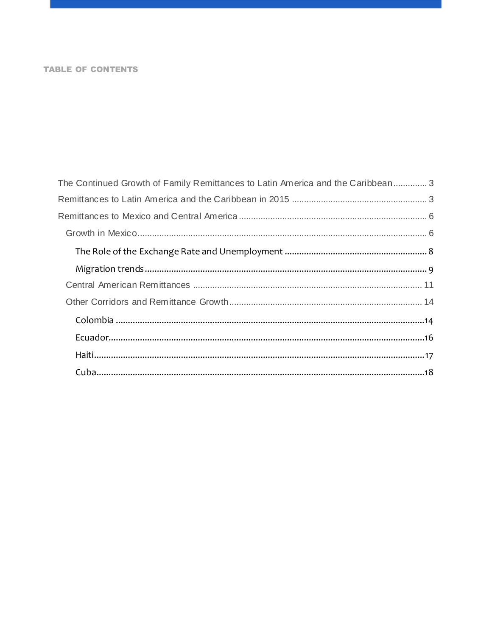### **TABLE OF CONTENTS**

| The Continued Growth of Family Remittances to Latin America and the Caribbean 3 |
|---------------------------------------------------------------------------------|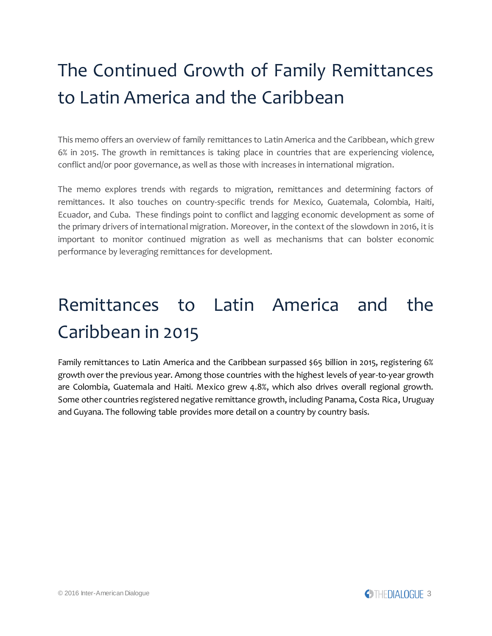## <span id="page-2-0"></span>The Continued Growth of Family Remittances to Latin America and the Caribbean

This memo offers an overview of family remittances to Latin America and the Caribbean, which grew 6% in 2015. The growth in remittances is taking place in countries that are experiencing violence, conflict and/or poor governance, as well as those with increases in international migration.

The memo explores trends with regards to migration, remittances and determining factors of remittances. It also touches on country-specific trends for Mexico, Guatemala, Colombia, Haiti, Ecuador, and Cuba. These findings point to conflict and lagging economic development as some of the primary drivers of international migration. Moreover, in the context of the slowdown in 2016, it is important to monitor continued migration as well as mechanisms that can bolster economic performance by leveraging remittances for development.

## <span id="page-2-1"></span>Remittances to Latin America and the Caribbean in 2015

Family remittances to Latin America and the Caribbean surpassed \$65 billion in 2015, registering 6% growth over the previous year. Among those countries with the highest levels of year-to-year growth are Colombia, Guatemala and Haiti. Mexico grew 4.8%, which also drives overall regional growth. Some other countries registered negative remittance growth, including Panama, Costa Rica, Uruguay and Guyana. The following table provides more detail on a country by country basis.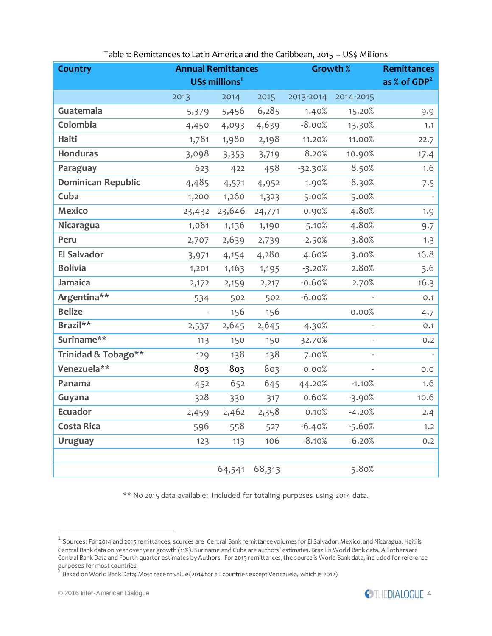| <b>Country</b>            | <b>Annual Remittances</b>  |        | Growth % |           | <b>Remittances</b> |                            |
|---------------------------|----------------------------|--------|----------|-----------|--------------------|----------------------------|
|                           | US\$ millions <sup>1</sup> |        |          |           |                    | as $%$ of GDP <sup>2</sup> |
|                           | 2013                       | 2014   | 2015     | 2013-2014 | 2014-2015          |                            |
| Guatemala                 | 5,379                      | 5,456  | 6,285    | 1.40%     | 15.20%             | 9.9                        |
| Colombia                  | 4,450                      | 4,093  | 4,639    | $-8.00%$  | 13.30%             | 1.1                        |
| Haiti                     | 1,781                      | 1,980  | 2,198    | 11.20%    | 11.00%             | 22.7                       |
| <b>Honduras</b>           | 3,098                      | 3,353  | 3,719    | 8.20%     | 10.90%             | 17.4                       |
| Paraguay                  | 623                        | 422    | 458      | $-32.30%$ | 8.50%              | 1.6                        |
| <b>Dominican Republic</b> | 4,485                      | 4,571  | 4,952    | 1.90%     | 8.30%              | 7.5                        |
| Cuba                      | 1,200                      | 1,260  | 1,323    | 5.00%     | 5.00%              | $\overline{\phantom{a}}$   |
| <b>Mexico</b>             | 23,432                     | 23,646 | 24,771   | 0.90%     | 4.80%              | 1.9                        |
| Nicaragua                 | 1,081                      | 1,136  | 1,190    | 5.10%     | 4.80%              | 9.7                        |
| Peru                      | 2,707                      | 2,639  | 2,739    | $-2.50%$  | 3.80%              | 1.3                        |
| <b>El Salvador</b>        | 3,971                      | 4,154  | 4,280    | 4.60%     | 3.00%              | 16.8                       |
| <b>Bolivia</b>            | 1,201                      | 1,163  | 1,195    | $-3.20%$  | 2.80%              | 3.6                        |
| <b>Jamaica</b>            | 2,172                      | 2,159  | 2,217    | $-0.60%$  | 2.70%              | 16.3                       |
| Argentina**               | 534                        | 502    | 502      | $-6.00%$  |                    | 0.1                        |
| <b>Belize</b>             |                            | 156    | 156      |           | 0.00%              | 4.7                        |
| Brazil**                  | 2,537                      | 2,645  | 2,645    | 4.30%     |                    | 0.1                        |
| Suriname**                | 113                        | 150    | 150      | 32.70%    |                    | 0.2                        |
| Trinidad & Tobago**       | 129                        | 138    | 138      | 7.00%     | $\overline{a}$     | $\mathcal{L}$              |
| Venezuela**               | 803                        | 803    | 803      | 0.00%     |                    | 0.0                        |
| Panama                    | 452                        | 652    | 645      | 44.20%    | $-1.10%$           | 1.6                        |
| Guyana                    | 328                        | 330    | 317      | 0.60%     | $-3.90%$           | 10.6                       |
| <b>Ecuador</b>            | 2,459                      | 2,462  | 2,358    | 0.10%     | $-4.20%$           | 2.4                        |
| <b>Costa Rica</b>         | 596                        | 558    | 527      | $-6.40%$  | $-5.60%$           | 1.2                        |
| <b>Uruguay</b>            | 123                        | 113    | 106      | $-8.10%$  | $-6.20%$           | 0.2                        |
|                           |                            |        |          |           |                    |                            |
|                           |                            | 64,541 | 68,313   |           | 5.80%              |                            |

Table 1: Remittances to Latin America and the Caribbean, 2015 – US\$ Millions

\*\* No 2015 data available; Included for totaling purposes using 2014 data.

 $^{\text{1}}$  Sources: For 2014 and 2015 remittances, sources are Central Bank remittance volumes for El Salvador, Mexico, and Nicaragua. Haiti is Central Bank data on year over year growth (11%). Suriname and Cuba are authors' estimates. Brazil is World Bank data. All others are Central Bank Data and Fourth quarter estimates by Authors. For 2013 remittances, the source is World Bank data, included for reference

purposes for most countries.<br><sup>2</sup> Based on World Bank Data; Most recent value (2014 for all countries except Venezuela, which is 2012).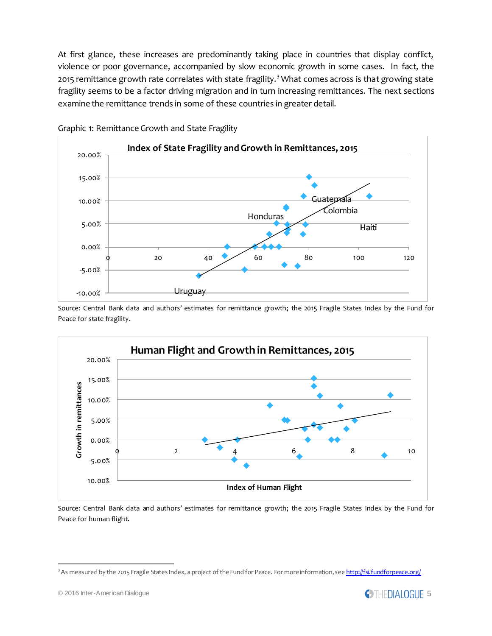At first glance, these increases are predominantly taking place in countries that display conflict, violence or poor governance, accompanied by slow economic growth in some cases. In fact, the 2015 remittance growth rate correlates with state fragility.<sup>3</sup> What comes across is that growing state fragility seems to be a factor driving migration and in turn increasing remittances. The next sections examine the remittance trends in some of these countries in greater detail.



Graphic 1: Remittance Growth and State Fragility

Source: Central Bank data and authors' estimates for remittance growth; the 2015 Fragile States Index by the Fund for Peace for state fragility.



Source: Central Bank data and authors' estimates for remittance growth; the 2015 Fragile States Index by the Fund for Peace for human flight.

j

<sup>&</sup>lt;sup>3</sup> As measured by the 2015 Fragile States Index, a project of the Fund for Peace. For more information, se[e http://fsi.fundforpeace.org/](http://fsi.fundforpeace.org/)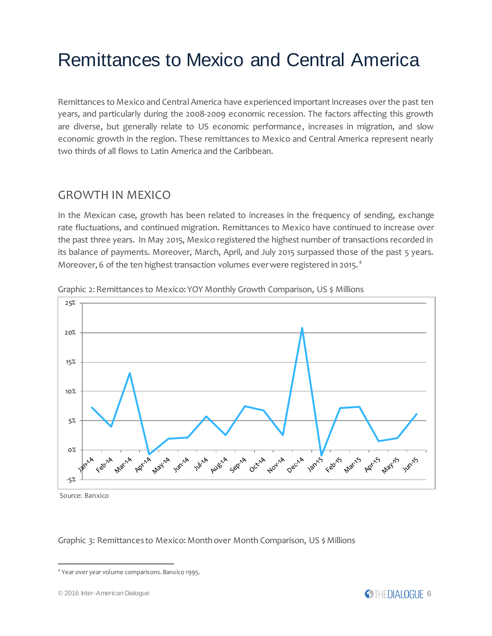## <span id="page-5-0"></span>Remittances to Mexico and Central America

Remittances to Mexico and Central America have experienced important increases over the past ten years, and particularly during the 2008-2009 economic recession. The factors affecting this growth are diverse, but generally relate to US economic performance, increases in migration, and slow economic growth in the region. These remittances to Mexico and Central America represent nearly two thirds of all flows to Latin America and the Caribbean.

## <span id="page-5-1"></span>GROWTH IN MEXICO

In the Mexican case, growth has been related to increases in the frequency of sending, exchange rate fluctuations, and continued migration. Remittances to Mexico have continued to increase over the past three years. In May 2015, Mexico registered the highest number of transactions recorded in its balance of payments. Moreover, March, April, and July 2015 surpassed those of the past 5 years. Moreover, 6 of the ten highest transaction volumes ever were registered in 2015.<sup>4</sup>



Graphic 2: Remittances to Mexico: YOY Monthly Growth Comparison, US \$ Millions

Source: Banxico

j

Graphic 3: Remittances to Mexico: Month over Month Comparison, US \$ Millions

<sup>4</sup> Year over year volume comparisons. Banxico 1995.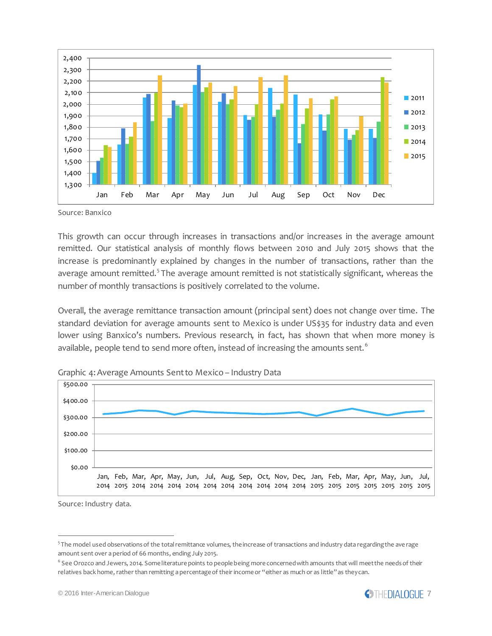

Source: Banxico

This growth can occur through increases in transactions and/or increases in the average amount remitted. Our statistical analysis of monthly flows between 2010 and July 2015 shows that the increase is predominantly explained by changes in the number of transactions, rather than the average amount remitted.<sup>5</sup> The average amount remitted is not statistically significant, whereas the number of monthly transactions is positively correlated to the volume.

Overall, the average remittance transaction amount (principal sent) does not change over time. The standard deviation for average amounts sent to Mexico is under US\$35 for industry data and even lower using Banxico's numbers. Previous research, in fact, has shown that when more money is available, people tend to send more often, instead of increasing the amounts sent. $^6$ 



Graphic 4: Average Amounts Sent to Mexico – Industry Data

Source: Industry data.



<sup>&</sup>lt;sup>5</sup> The model used observations of the total remittance volumes, the increase of transactions and industry data regarding the ave rage amount sent over a period of 66 months, ending July 2015.

 $^6$  See Orozco and Jewers, 2014. Some literature points to people being more concerned with amounts that will meet the needs of their relatives back home, rather than remitting a percentage of their income or "either as much or as little" as they can.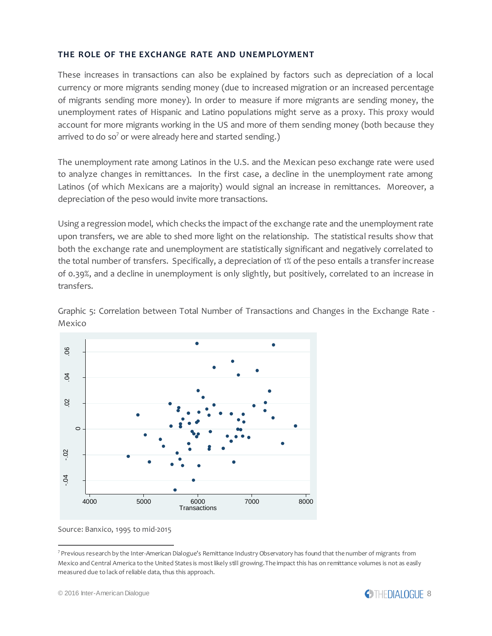#### <span id="page-7-0"></span>**THE ROLE OF THE EXCHANGE RATE AND UNEMPLOYMENT**

These increases in transactions can also be explained by factors such as depreciation of a local currency or more migrants sending money (due to increased migration or an increased percentage of migrants sending more money). In order to measure if more migrants are sending money, the unemployment rates of Hispanic and Latino populations might serve as a proxy. This proxy would account for more migrants working in the US and more of them sending money (both because they arrived to do so<sup>7</sup> or were already here and started sending.)

The unemployment rate among Latinos in the U.S. and the Mexican peso exchange rate were used to analyze changes in remittances. In the first case, a decline in the unemployment rate among Latinos (of which Mexicans are a majority) would signal an increase in remittances. Moreover, a depreciation of the peso would invite more transactions.

Using a regression model, which checks the impact of the exchange rate and the unemployment rate upon transfers, we are able to shed more light on the relationship. The statistical results show that both the exchange rate and unemployment are statistically significant and negatively correlated to the total number of transfers. Specifically, a depreciation of 1% of the peso entails a transfer increase of 0.39%, and a decline in unemployment is only slightly, but positively, correlated to an increase in transfers.

Graphic 5: Correlation between Total Number of Transactions and Changes in the Exchange Rate - Mexico



Source: Banxico, 1995 to mid-2015



<sup>7</sup> Previous research by the Inter-American Dialogue's Remittance Industry Observatory has found that the number of migrants from Mexico and Central America to the United States is most likely still growing. The impact this has on remittance volumes is not as easily measured due to lack of reliable data, thus this approach.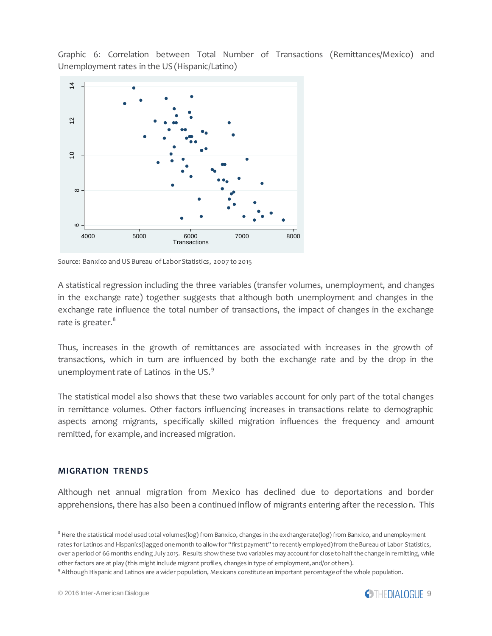Graphic 6: Correlation between Total Number of Transactions (Remittances/Mexico) and Unemployment rates in the US (Hispanic/Latino)



Source: Banxico and US Bureau of Labor Statistics, 2007 to 2015

A statistical regression including the three variables (transfer volumes, unemployment, and changes in the exchange rate) together suggests that although both unemployment and changes in the exchange rate influence the total number of transactions, the impact of changes in the exchange rate is greater.<sup>8</sup>

Thus, increases in the growth of remittances are associated with increases in the growth of transactions, which in turn are influenced by both the exchange rate and by the drop in the unemployment rate of Latinos in the US.<sup>9</sup>

The statistical model also shows that these two variables account for only part of the total changes in remittance volumes. Other factors influencing increases in transactions relate to demographic aspects among migrants, specifically skilled migration influences the frequency and amount remitted, for example, and increased migration.

#### <span id="page-8-0"></span>**MIGRATION TRENDS**

l

Although net annual migration from Mexico has declined due to deportations and border apprehensions, there has also been a continued inflow of migrants entering after the recession. This



<sup>&</sup>lt;sup>8</sup> Here the statistical model used total volumes(log) from Banxico, changes in the exchange rate(log) from Banxico, and unemploy ment rates for Latinos and Hispanics(lagged one month to allow for "first payment" to recently employed) from the Bureau of Labor Statistics, over a period of 66 months ending July 2015. Results show these two variables may account for close to half the change in remitting, while other factors are at play (this might include migrant profiles, changes in type of employment, and/or others).

<sup>9</sup> Although Hispanic and Latinos are a wider population, Mexicans constitute an important percentage of the whole population.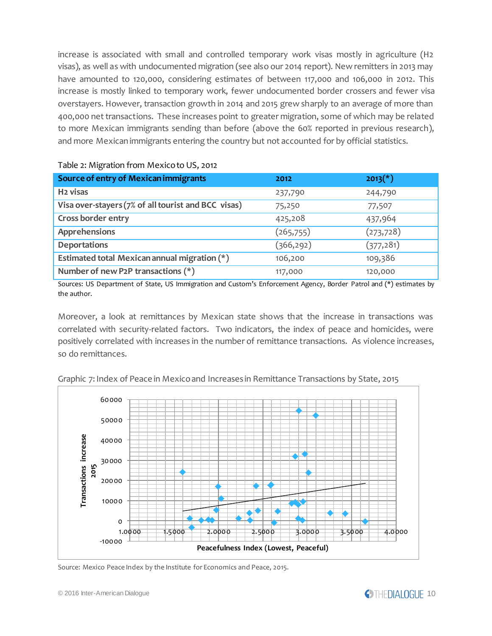increase is associated with small and controlled temporary work visas mostly in agriculture (H2 visas), as well as with undocumented migration (see also our 2014 report). New remitters in 2013 may have amounted to 120,000, considering estimates of between 117,000 and 106,000 in 2012. This increase is mostly linked to temporary work, fewer undocumented border crossers and fewer visa overstayers. However, transaction growth in 2014 and 2015 grew sharply to an average of more than 400,000 net transactions. These increases point to greater migration, some of which may be related to more Mexican immigrants sending than before (above the 60% reported in previous research), and more Mexican immigrants entering the country but not accounted for by official statistics.

| Source of entry of Mexican immigrants               | 2012       | $2013(*)$  |
|-----------------------------------------------------|------------|------------|
| H <sub>2</sub> visas                                | 237,790    | 244,790    |
| Visa over-stayers (7% of all tourist and BCC visas) | 75,250     | 77,507     |
| Cross border entry                                  | 425,208    | 437,964    |
| <b>Apprehensions</b>                                | (265,755)  | (273, 728) |
| <b>Deportations</b>                                 | (366, 292) | (377, 281) |
| Estimated total Mexican annual migration (*)        | 106,200    | 109,386    |
| Number of new P2P transactions (*)                  | 117,000    | 120,000    |

#### Table 2: Migration from Mexico to US, 2012

Sources: US Department of State, US Immigration and Custom's Enforcement Agency, Border Patrol and (\*) estimates by the author.

Moreover, a look at remittances by Mexican state shows that the increase in transactions was correlated with security-related factors. Two indicators, the index of peace and homicides, were positively correlated with increases in the number of remittance transactions. As violence increases, so do remittances.



Graphic 7: Index of Peace in Mexico and Increases in Remittance Transactions by State, 2015

Source: Mexico Peace Index by the Institute for Economics and Peace, 2015.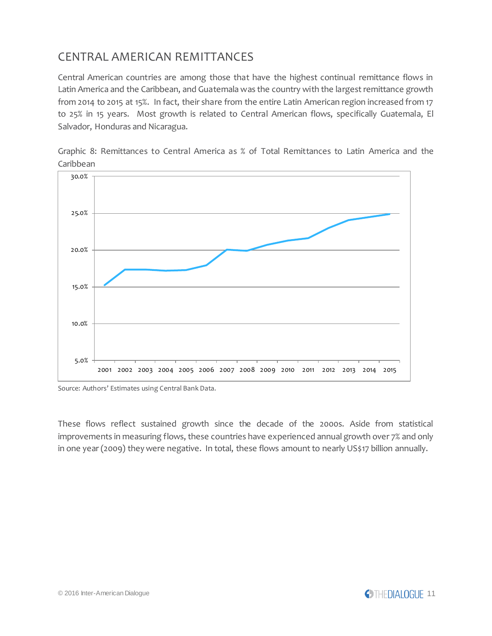## <span id="page-10-0"></span>CENTRAL AMERICAN REMITTANCES

Central American countries are among those that have the highest continual remittance flows in Latin America and the Caribbean, and Guatemala was the country with the largest remittance growth from 2014 to 2015 at 15%. In fact, their share from the entire Latin American region increased from 17 to 25% in 15 years. Most growth is related to Central American flows, specifically Guatemala, El Salvador, Honduras and Nicaragua.





Source: Authors' Estimates using Central Bank Data.

These flows reflect sustained growth since the decade of the 2000s. Aside from statistical improvements in measuring flows, these countries have experienced annual growth over 7% and only in one year (2009) they were negative. In total, these flows amount to nearly US\$17 billion annually.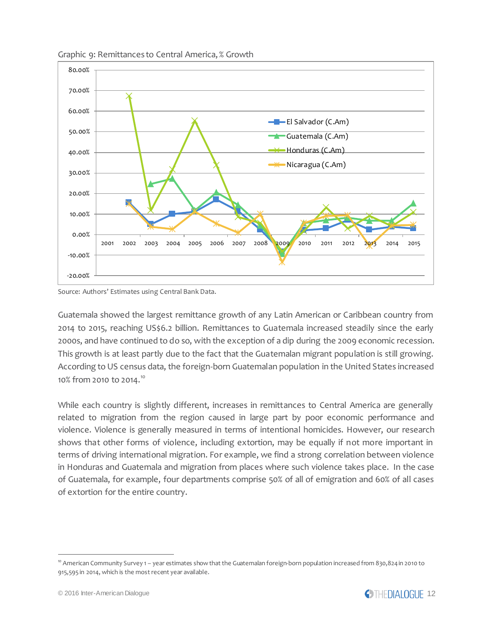

Graphic 9: Remittances to Central America, % Growth

Source: Authors' Estimates using Central Bank Data.

Guatemala showed the largest remittance growth of any Latin American or Caribbean country from 2014 to 2015, reaching US\$6.2 billion. Remittances to Guatemala increased steadily since the early 2000s, and have continued to do so, with the exception of a dip during the 2009 economic recession. This growth is at least partly due to the fact that the Guatemalan migrant population is still growing. According to US census data, the foreign-born Guatemalan population in the United States increased 10% from 2010 to 2014.<sup>10</sup>

While each country is slightly different, increases in remittances to Central America are generally related to migration from the region caused in large part by poor economic performance and violence. Violence is generally measured in terms of intentional homicides. However, our research shows that other forms of violence, including extortion, may be equally if not more important in terms of driving international migration. For example, we find a strong correlation between violence in Honduras and Guatemala and migration from places where such violence takes place. In the case of Guatemala, for example, four departments comprise 50% of all of emigration and 60% of all cases of extortion for the entire country.

<sup>&</sup>lt;sup>10</sup> American Community Survey 1 – year estimates show that the Guatemalan foreign-born population increased from 830,824 in 2010 to 915,595 in 2014, which is the most recent year available.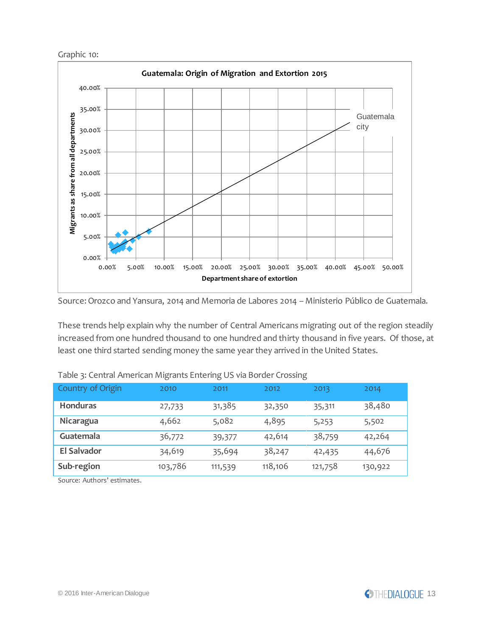Graphic 10:



Source:Orozco and Yansura, 2014 and Memoria de Labores 2014 – Ministerio Público de Guatemala.

These trends help explain why the number of Central Americans migrating out of the region steadily increased from one hundred thousand to one hundred and thirty thousand in five years. Of those, at least one third started sending money the same year they arrived in the United States.

| Country of Origin  | 2010    | 2011    | 2012    | 2013    | 2014    |
|--------------------|---------|---------|---------|---------|---------|
| <b>Honduras</b>    | 27,733  | 31,385  | 32,350  | 35,311  | 38,480  |
| Nicaragua          | 4,662   | 5,082   | 4,895   | 5,253   | 5,502   |
| Guatemala          | 36,772  | 39,377  | 42,614  | 38,759  | 42,264  |
| <b>El Salvador</b> | 34,619  | 35,694  | 38,247  | 42,435  | 44,676  |
| Sub-region         | 103,786 | 111,539 | 118,106 | 121,758 | 130,922 |

Source: Authors' estimates.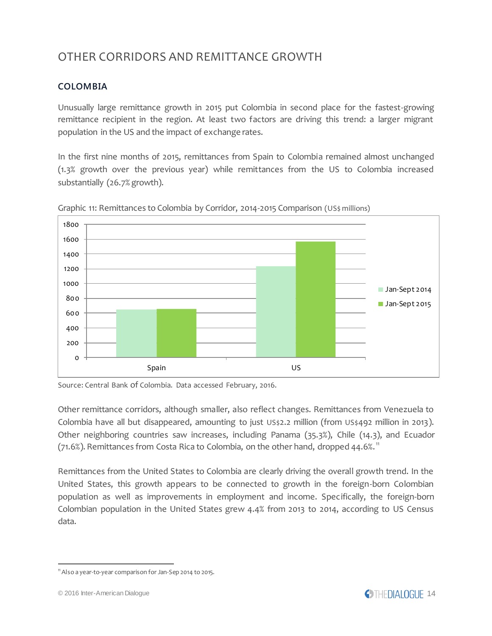## <span id="page-13-0"></span>OTHER CORRIDORS AND REMITTANCE GROWTH

## <span id="page-13-1"></span>**COLOMBIA**

Unusually large remittance growth in 2015 put Colombia in second place for the fastest-growing remittance recipient in the region. At least two factors are driving this trend: a larger migrant population in the US and the impact of exchange rates.

In the first nine months of 2015, remittances from Spain to Colombia remained almost unchanged (1.3% growth over the previous year) while remittances from the US to Colombia increased substantially (26.7% growth).



Graphic 11: Remittances to Colombia by Corridor, 2014-2015 Comparison (US\$ millions)

Source: Central Bank of Colombia. Data accessed February, 2016.

Other remittance corridors, although smaller, also reflect changes. Remittances from Venezuela to Colombia have all but disappeared, amounting to just US\$2.2 million (from US\$492 million in 2013). Other neighboring countries saw increases, including Panama (35.3%), Chile (14.3), and Ecuador  $(71.6\%)$ . Remittances from Costa Rica to Colombia, on the other hand, dropped  $44.6\%$ .<sup>11</sup>

Remittances from the United States to Colombia are clearly driving the overall growth trend. In the United States, this growth appears to be connected to growth in the foreign-born Colombian population as well as improvements in employment and income. Specifically, the foreign-born Colombian population in the United States grew 4.4% from 2013 to 2014, according to US Census data.

j

<sup>11</sup>Also a year-to-year comparison for Jan-Sep 2014 to 2015.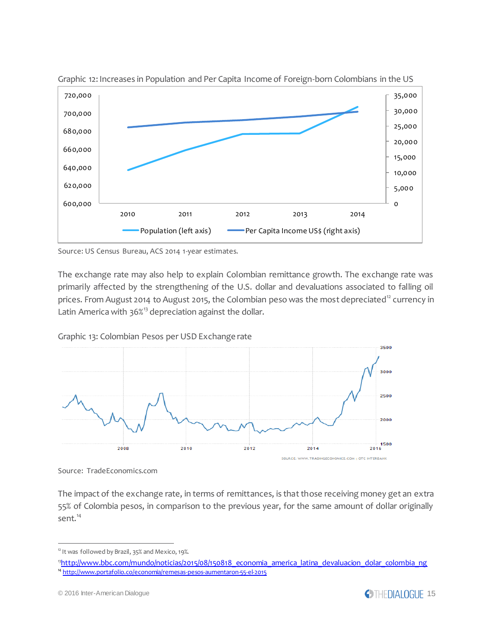

Graphic 12: Increases in Population and Per Capita Income of Foreign-born Colombians in the US

Source: US Census Bureau, ACS 2014 1-year estimates.

The exchange rate may also help to explain Colombian remittance growth. The exchange rate was primarily affected by the strengthening of the U.S. dollar and devaluations associated to falling oil prices. From August 2014 to August 2015, the Colombian peso was the most depreciated<sup>12</sup> currency in Latin America with  $36\%$ <sup>13</sup> depreciation against the dollar.



Graphic 13: Colombian Pesos per USD Exchange rate

Source: TradeEconomics.com

The impact of the exchange rate, in terms of remittances, is that those receiving money get an extra 55% of Colombia pesos, in comparison to the previous year, for the same amount of dollar originally sent.<sup>14</sup>

 $12$  It was followed by Brazil, 35% and Mexico, 19%.

<sup>&</sup>lt;sup>13</sup>[http://www.bbc.com/mundo/noticias/2015/08/150818\\_economia\\_america\\_latina\\_devaluacion\\_dolar\\_colombia\\_ng](http://www.bbc.com/mundo/noticias/2015/08/150818_economia_america_latina_devaluacion_dolar_colombia_ng) <sup>14</sup> <http://www.portafolio.co/economia/remesas-pesos-aumentaron-55-el-2015>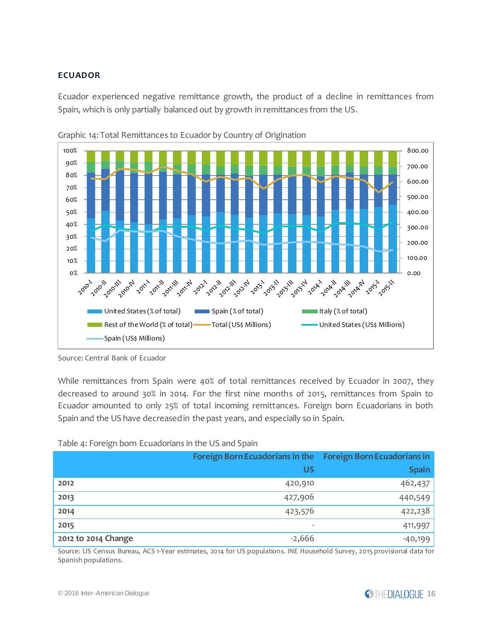## <span id="page-15-0"></span>**ECUADOR**

Ecuador experienced negative remittance growth, the product of a decline in remittances from Spain, which is only partially balanced out by growth in remittances from the US.





While remittances from Spain were 40% of total remittances received by Ecuador in 2007, they decreased to around 30% in 2014. For the first nine months of 2015, remittances from Spain to Ecuador amounted to only 25% of total incoming remittances. Foreign born Ecuadorians in both Spain and the US have decreased in the past years, and especially so in Spain.

## Table 4: Foreign born Ecuadorians in the US and Spain

|                     | Foreign Born Ecuadorians in the Foreign Born Ecuadorians in |              |  |
|---------------------|-------------------------------------------------------------|--------------|--|
|                     | บร                                                          | <b>Spain</b> |  |
| 2012                | 420,910                                                     | 462,437      |  |
| 2013                | 427,906                                                     | 440,549      |  |
| 2014                | 423,576                                                     | 422,238      |  |
| 2015                | $\overline{\phantom{0}}$                                    | 411,997      |  |
| 2012 to 2014 Change | $-2,666$                                                    | $-40,199$    |  |

Source: US Census Bureau, ACS 1-Year estimates, 2014 for US populations. INE Household Survey, 2015 provisional data for Spanish populations.

Source: Central Bank of Ecuador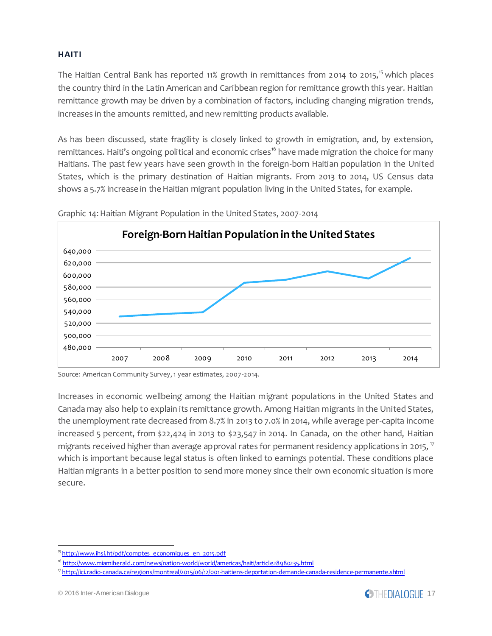### <span id="page-16-0"></span>**HAITI**

The Haitian Central Bank has reported 11% growth in remittances from 2014 to 2015,<sup>15</sup> which places the country third in the Latin American and Caribbean region for remittance growth this year. Haitian remittance growth may be driven by a combination of factors, including changing migration trends, increases in the amounts remitted, and new remitting products available.

As has been discussed, state fragility is closely linked to growth in emigration, and, by extension, remittances. Haiti's ongoing political and economic crises<sup>16</sup> have made migration the choice for many Haitians. The past few years have seen growth in the foreign-born Haitian population in the United States, which is the primary destination of Haitian migrants. From 2013 to 2014, US Census data shows a 5.7% increase in the Haitian migrant population living in the United States, for example.



Graphic 14: Haitian Migrant Population in the United States, 2007-2014

Source: American Community Survey, 1 year estimates, 2007-2014.

Increases in economic wellbeing among the Haitian migrant populations in the United States and Canada may also help to explain its remittance growth. Among Haitian migrants in the United States, the unemployment rate decreased from 8.7% in 2013 to 7.0% in 2014, while average per-capita income increased 5 percent, from \$22,424 in 2013 to \$23,547 in 2014. In Canada, on the other hand, Haitian migrants received higher than average approval rates for permanent residency applications in 2015, <sup>17</sup> which is important because legal status is often linked to earnings potential. These conditions place Haitian migrants in a better position to send more money since their own economic situation is more secure.

<sup>&</sup>lt;sup>15</sup> [http://www.ihsi.ht/pdf/comptes\\_economiques\\_en\\_2015.pdf](http://www.ihsi.ht/pdf/comptes_economiques_en_2015.pdf)

<sup>&</sup>lt;sup>16</sup> <http://www.miamiherald.com/news/nation-world/world/americas/haiti/article28980235.html>

 $\frac{n}{2}$ <http://ici.radio-canada.ca/regions/montreal/2015/06/12/001-haitiens-deportation-demande-canada-residence-permanente.shtml>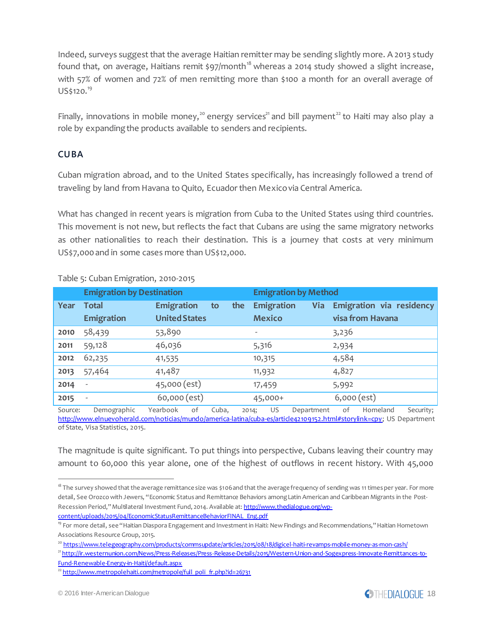Indeed, surveys suggest that the average Haitian remitter may be sending slightly more. A 2013 study found that, on average, Haitians remit  $\frac{1}{97}$ /month<sup>18</sup> whereas a 2014 study showed a slight increase, with 57% of women and 72% of men remitting more than \$100 a month for an overall average of US\$120.<sup>19</sup>

Finally, innovations in mobile money,<sup>20</sup> energy services<sup>21</sup> and bill payment<sup>22</sup> to Haiti may also play a role by expanding the products available to senders and recipients.

## <span id="page-17-0"></span>**CUBA**

Cuban migration abroad, and to the United States specifically, has increasingly followed a trend of traveling by land from Havana to Quito, Ecuador then Mexico via Central America.

What has changed in recent years is migration from Cuba to the United States using third countries. This movement is not new, but reflects the fact that Cubans are using the same migratory networks as other nationalities to reach their destination. This is a journey that costs at very minimum US\$7,000 and in some cases more than US\$12,000.

|      | <b>Emigration by Destination</b> |                                | <b>Emigration by Method</b> |                          |  |
|------|----------------------------------|--------------------------------|-----------------------------|--------------------------|--|
| Year | <b>Total</b>                     | <b>Emigration</b><br>the<br>to | Emigration<br><b>Via</b>    | Emigration via residency |  |
|      | <b>Emigration</b>                | <b>United States</b>           | <b>Mexico</b>               | visa from Havana         |  |
| 2010 | 58,439                           | 53,890                         | $\overline{\phantom{m}}$    | 3,236                    |  |
| 2011 | 59,128                           | 46,036                         | 5,316                       | 2,934                    |  |
| 2012 | 62,235                           | 41,535                         | 10,315                      | 4,584                    |  |
| 2013 | 57,464                           | 41,487                         | 11,932                      | 4,827                    |  |
| 2014 | $\overline{\phantom{a}}$         | 45,000 (est)                   | 17,459                      | 5,992                    |  |
| 2015 | $\overline{\phantom{a}}$         | 60,000 (est)                   | 45,000+                     | $6,000$ (est)            |  |

### Table 5: Cuban Emigration, 2010-2015

Source: Demographic Yearbook of Cuba, 2014; US Department of Homeland Security; <http://www.elnuevoherald.com/noticias/mundo/america-latina/cuba-es/article42109152.html#storylink=cpy>; US Department of State, Visa Statistics, 2015.

The magnitude is quite significant. To put things into perspective, Cubans leaving their country may amount to 60,000 this year alone, one of the highest of outflows in recent history. With 45,000

j

<sup>&</sup>lt;sup>18</sup> The survey showed that the average remittance size was \$106 and that the average frequency of sending was 11 times per year. For more detail, See Orozco with Jewers, "Economic Status and Remittance Behaviors among Latin American and Caribbean Migrants in the Post-Recession Period," Multilateral Investment Fund, 2014. Available a[t: http://www.thedialogue.org/wp-](http://www.thedialogue.org/wp-content/uploads/2015/04/EconomicStatusRemittanceBehaviorFINAL_Eng.pdf)

[content/uploads/2015/04/EconomicStatusRemittanceBehaviorFINAL\\_Eng.pdf](http://www.thedialogue.org/wp-content/uploads/2015/04/EconomicStatusRemittanceBehaviorFINAL_Eng.pdf)

<sup>19</sup> For more detail, see "Haitian Diaspora Engagement and Investment in Haiti: New Findings and Recommendations," Haitian Hometown Associations Resource Group, 2015.

<sup>&</sup>lt;sup>20</sup> <https://www.telegeography.com/products/commsupdate/articles/2015/08/18/digicel-haiti-revamps-mobile-money-as-mon-cash/>

<sup>21</sup> [http://ir.westernunion.com/News/Press-Releases/Press-Release-Details/2015/Western-Union-and-Sogexpress-Innovate-Remittances-to-](http://ir.westernunion.com/News/Press-Releases/Press-Release-Details/2015/Western-Union-and-Sogexpress-Innovate-Remittances-to-Fund-Renewable-Energy-in-Haiti/default.aspx)[Fund-Renewable-Energy-in-Haiti/default.aspx](http://ir.westernunion.com/News/Press-Releases/Press-Release-Details/2015/Western-Union-and-Sogexpress-Innovate-Remittances-to-Fund-Renewable-Energy-in-Haiti/default.aspx)

 $22$  [http://www.metropolehaiti.com/metropole/full\\_poli\\_fr.php?id=26731](http://www.metropolehaiti.com/metropole/full_poli_fr.php?id=26731)